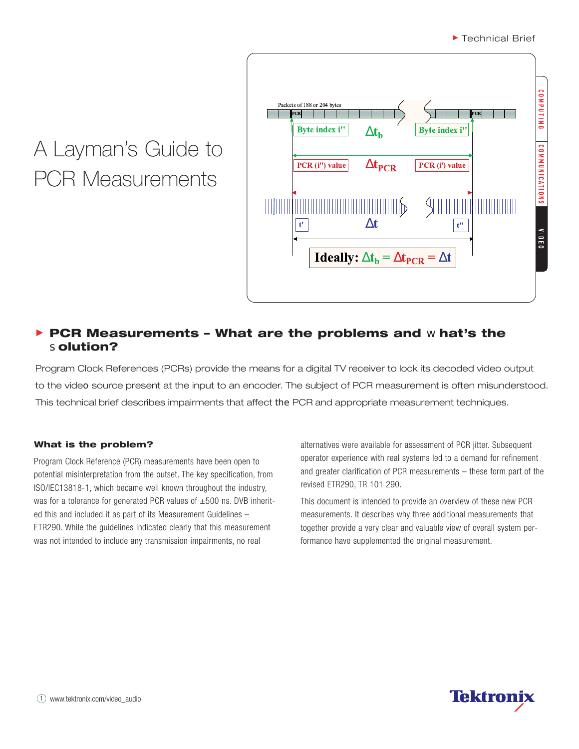# A Layman's Guide to PCR Measurements



# **PCR Measurements – What are the problems and** w**hat's the** s**olution?**

Program Clock References (PCRs) provide the means for a digital TV receiver to lock its decoded video output to the video source present at the input to an encoder. The subject of PCR measurement is often misunderstood. This technical brief describes impairments that affect the PCR and appropriate measurement techniques.

## **What is the problem?**

Program Clock Reference (PCR) measurements have been open to potential misinterpretation from the outset. The key specification, from ISO/IEC13818-1, which became well known throughout the industry, was for a tolerance for generated PCR values of  $\pm 500$  ns. DVB inherited this and included it as part of its Measurement Guidelines – ETR290. While the guidelines indicated clearly that this measurement was not intended to include any transmission impairments, no real

alternatives were available for assessment of PCR jitter. Subsequent operator experience with real systems led to a demand for refinement and greater clarification of PCR measurements – these form part of the revised ETR290, TR 101 290.

This document is intended to provide an overview of these new PCR measurements. It describes why three additional measurements that together provide a very clear and valuable view of overall system performance have supplemented the original measurement.

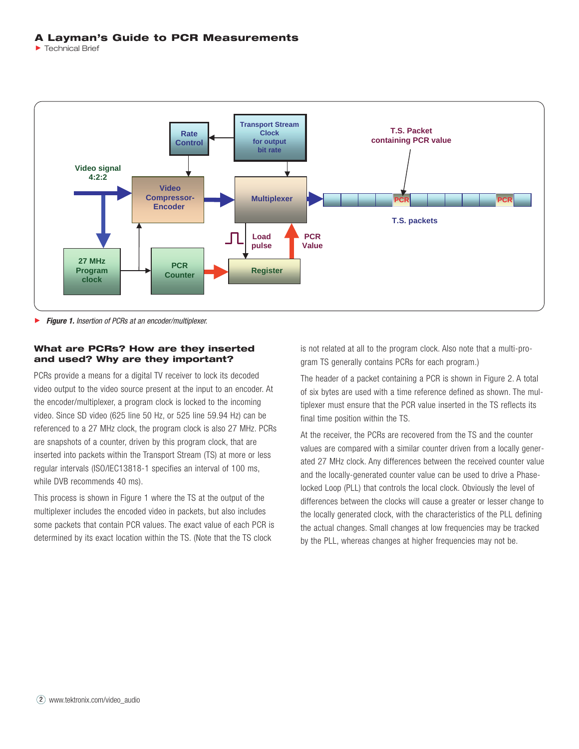



Þ *Figure 1. Insertion of PCRs at an encoder/multiplexer.*

#### **What are PCRs? How are they inserted and used? Why are they important?**

PCRs provide a means for a digital TV receiver to lock its decoded video output to the video source present at the input to an encoder. At the encoder/multiplexer, a program clock is locked to the incoming video. Since SD video (625 line 50 Hz, or 525 line 59.94 Hz) can be referenced to a 27 MHz clock, the program clock is also 27 MHz. PCRs are snapshots of a counter, driven by this program clock, that are inserted into packets within the Transport Stream (TS) at more or less regular intervals (ISO/IEC13818-1 specifies an interval of 100 ms, while DVB recommends 40 ms).

This process is shown in Figure 1 where the TS at the output of the multiplexer includes the encoded video in packets, but also includes some packets that contain PCR values. The exact value of each PCR is determined by its exact location within the TS. (Note that the TS clock

is not related at all to the program clock. Also note that a multi-program TS generally contains PCRs for each program.)

The header of a packet containing a PCR is shown in Figure 2. A total of six bytes are used with a time reference defined as shown. The multiplexer must ensure that the PCR value inserted in the TS reflects its final time position within the TS.

At the receiver, the PCRs are recovered from the TS and the counter values are compared with a similar counter driven from a locally generated 27 MHz clock. Any differences between the received counter value and the locally-generated counter value can be used to drive a Phaselocked Loop (PLL) that controls the local clock. Obviously the level of differences between the clocks will cause a greater or lesser change to the locally generated clock, with the characteristics of the PLL defining the actual changes. Small changes at low frequencies may be tracked by the PLL, whereas changes at higher frequencies may not be.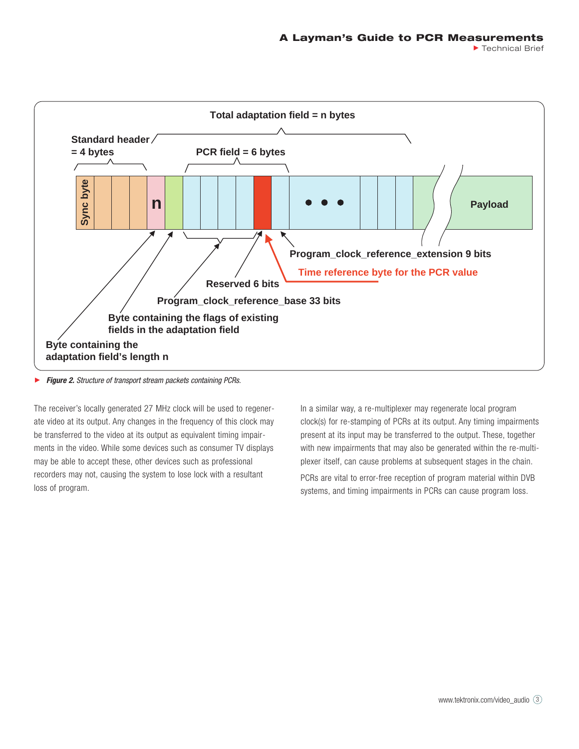

*Figure 2. Structure of transport stream packets containing PCRs.* ▶

The receiver's locally generated 27 MHz clock will be used to regenerate video at its output. Any changes in the frequency of this clock may be transferred to the video at its output as equivalent timing impairments in the video. While some devices such as consumer TV displays may be able to accept these, other devices such as professional recorders may not, causing the system to lose lock with a resultant loss of program.

In a similar way, a re-multiplexer may regenerate local program clock(s) for re-stamping of PCRs at its output. Any timing impairments present at its input may be transferred to the output. These, together with new impairments that may also be generated within the re-multiplexer itself, can cause problems at subsequent stages in the chain.

PCRs are vital to error-free reception of program material within DVB systems, and timing impairments in PCRs can cause program loss.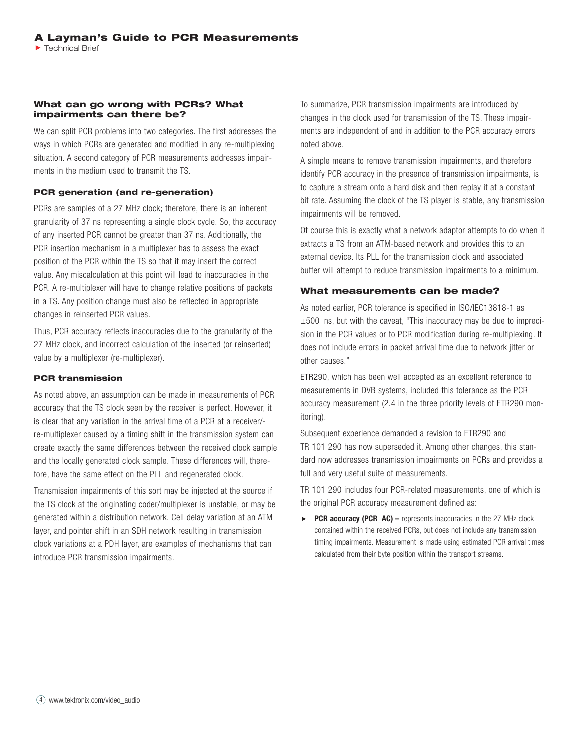#### **What can go wrong with PCRs? What impairments can there be?**

We can split PCR problems into two categories. The first addresses the ways in which PCRs are generated and modified in any re-multiplexing situation. A second category of PCR measurements addresses impairments in the medium used to transmit the TS.

#### **PCR generation (and re-generation)**

PCRs are samples of a 27 MHz clock; therefore, there is an inherent granularity of 37 ns representing a single clock cycle. So, the accuracy of any inserted PCR cannot be greater than 37 ns. Additionally, the PCR insertion mechanism in a multiplexer has to assess the exact position of the PCR within the TS so that it may insert the correct value. Any miscalculation at this point will lead to inaccuracies in the PCR. A re-multiplexer will have to change relative positions of packets in a TS. Any position change must also be reflected in appropriate changes in reinserted PCR values.

Thus, PCR accuracy reflects inaccuracies due to the granularity of the 27 MHz clock, and incorrect calculation of the inserted (or reinserted) value by a multiplexer (re-multiplexer).

#### **PCR transmission**

As noted above, an assumption can be made in measurements of PCR accuracy that the TS clock seen by the receiver is perfect. However, it is clear that any variation in the arrival time of a PCR at a receiver/ re-multiplexer caused by a timing shift in the transmission system can create exactly the same differences between the received clock sample and the locally generated clock sample. These differences will, therefore, have the same effect on the PLL and regenerated clock.

Transmission impairments of this sort may be injected at the source if the TS clock at the originating coder/multiplexer is unstable, or may be generated within a distribution network. Cell delay variation at an ATM layer, and pointer shift in an SDH network resulting in transmission clock variations at a PDH layer, are examples of mechanisms that can introduce PCR transmission impairments.

To summarize, PCR transmission impairments are introduced by changes in the clock used for transmission of the TS. These impairments are independent of and in addition to the PCR accuracy errors noted above.

A simple means to remove transmission impairments, and therefore identify PCR accuracy in the presence of transmission impairments, is to capture a stream onto a hard disk and then replay it at a constant bit rate. Assuming the clock of the TS player is stable, any transmission impairments will be removed.

Of course this is exactly what a network adaptor attempts to do when it extracts a TS from an ATM-based network and provides this to an external device. Its PLL for the transmission clock and associated buffer will attempt to reduce transmission impairments to a minimum.

#### **What measurements can be made?**

As noted earlier, PCR tolerance is specified in ISO/IEC13818-1 as  $\pm 500$  ns, but with the caveat, "This inaccuracy may be due to imprecision in the PCR values or to PCR modification during re-multiplexing. It does not include errors in packet arrival time due to network jitter or other causes."

ETR290, which has been well accepted as an excellent reference to measurements in DVB systems, included this tolerance as the PCR accuracy measurement (2.4 in the three priority levels of ETR290 monitoring).

Subsequent experience demanded a revision to ETR290 and TR 101 290 has now superseded it. Among other changes, this standard now addresses transmission impairments on PCRs and provides a full and very useful suite of measurements.

TR 101 290 includes four PCR-related measurements, one of which is the original PCR accuracy measurement defined as:

 $\mathbf{P}^{\top}$ **PCR accuracy (PCR\_AC) –** represents inaccuracies in the 27 MHz clock contained within the received PCRs, but does not include any transmission timing impairments. Measurement is made using estimated PCR arrival times calculated from their byte position within the transport streams.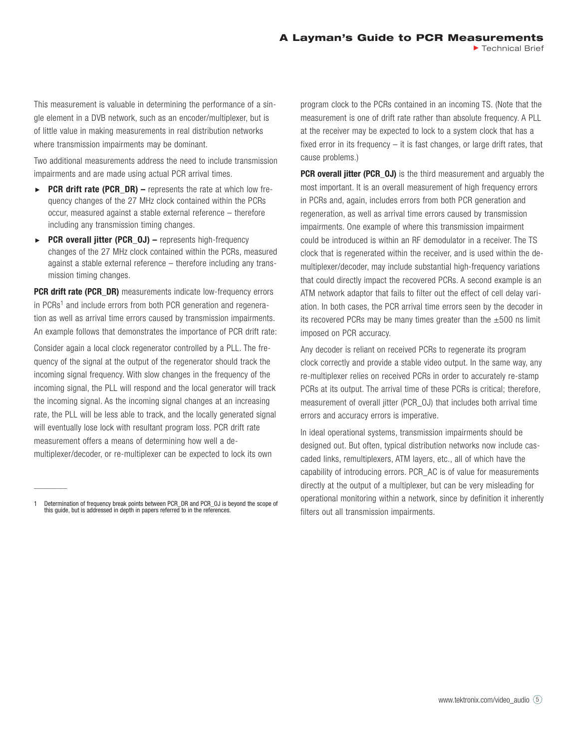This measurement is valuable in determining the performance of a single element in a DVB network, such as an encoder/multiplexer, but is of little value in making measurements in real distribution networks where transmission impairments may be dominant.

Two additional measurements address the need to include transmission impairments and are made using actual PCR arrival times.

- **PCR drift rate (PCR\_DR)** represents the rate at which low fre-K quency changes of the 27 MHz clock contained within the PCRs occur, measured against a stable external reference – therefore including any transmission timing changes.
- **PCR overall jitter (PCR\_0J)** represents high-frequency  $\blacktriangleright$ changes of the 27 MHz clock contained within the PCRs, measured against a stable external reference – therefore including any transmission timing changes.

**PCR drift rate (PCR\_DR)** measurements indicate low-frequency errors in PCRs<sup>1</sup> and include errors from both PCR generation and regeneration as well as arrival time errors caused by transmission impairments. An example follows that demonstrates the importance of PCR drift rate:

Consider again a local clock regenerator controlled by a PLL. The frequency of the signal at the output of the regenerator should track the incoming signal frequency. With slow changes in the frequency of the incoming signal, the PLL will respond and the local generator will track the incoming signal. As the incoming signal changes at an increasing rate, the PLL will be less able to track, and the locally generated signal will eventually lose lock with resultant program loss. PCR drift rate measurement offers a means of determining how well a demultiplexer/decoder, or re-multiplexer can be expected to lock its own

*\_\_\_\_\_\_\_\_\_\_*

program clock to the PCRs contained in an incoming TS. (Note that the measurement is one of drift rate rather than absolute frequency. A PLL at the receiver may be expected to lock to a system clock that has a fixed error in its frequency – it is fast changes, or large drift rates, that cause problems.)

**PCR overall jitter (PCR\_OJ)** is the third measurement and arguably the most important. It is an overall measurement of high frequency errors in PCRs and, again, includes errors from both PCR generation and regeneration, as well as arrival time errors caused by transmission impairments. One example of where this transmission impairment could be introduced is within an RF demodulator in a receiver. The TS clock that is regenerated within the receiver, and is used within the demultiplexer/decoder, may include substantial high-frequency variations that could directly impact the recovered PCRs. A second example is an ATM network adaptor that fails to filter out the effect of cell delay variation. In both cases, the PCR arrival time errors seen by the decoder in its recovered PCRs may be many times greater than the  $\pm 500$  ns limit imposed on PCR accuracy.

Any decoder is reliant on received PCRs to regenerate its program clock correctly and provide a stable video output. In the same way, any re-multiplexer relies on received PCRs in order to accurately re-stamp PCRs at its output. The arrival time of these PCRs is critical; therefore, measurement of overall jitter (PCR\_OJ) that includes both arrival time errors and accuracy errors is imperative.

In ideal operational systems, transmission impairments should be designed out. But often, typical distribution networks now include cascaded links, remultiplexers, ATM layers, etc., all of which have the capability of introducing errors. PCR\_AC is of value for measurements directly at the output of a multiplexer, but can be very misleading for operational monitoring within a network, since by definition it inherently filters out all transmission impairments.

*<sup>1</sup> Determination of frequency break points between PCR\_DR and PCR\_OJ is beyond the scope of this guide, but is addressed in depth in papers referred to in the references.*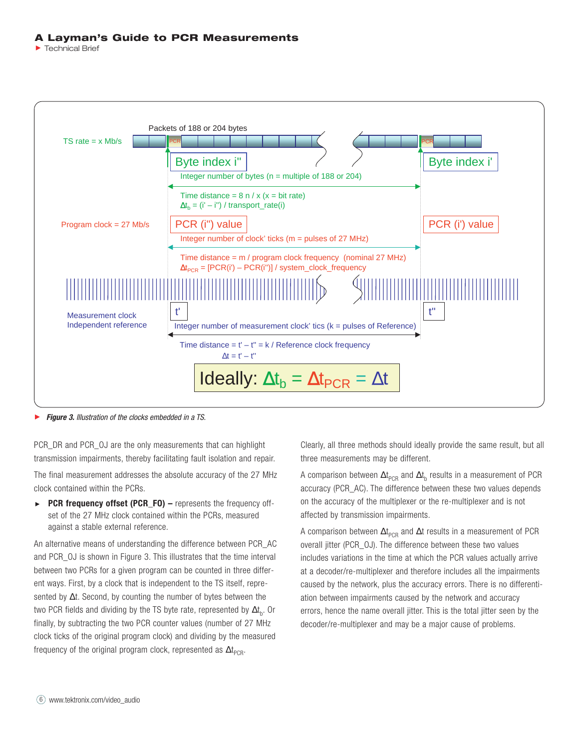#### **A Layman's Guide to PCR Measurements**

Technical Brief



*Figure 3. Illustration of the clocks embedded in a TS.*

PCR\_DR and PCR\_0J are the only measurements that can highlight transmission impairments, thereby facilitating fault isolation and repair.

The final measurement addresses the absolute accuracy of the 27 MHz clock contained within the PCRs.

*PCR frequency offset (PCR\_FO) –* represents the frequency offset of the 27 MHz clock contained within the PCRs, measured against a stable external reference.

An alternative means of understanding the difference between PCR\_AC and PCR\_OJ is shown in Figure 3. This illustrates that the time interval between two PCRs for a given program can be counted in three different ways. First, by a clock that is independent to the TS itself, represented by ∆t. Second, by counting the number of bytes between the two PCR fields and dividing by the TS byte rate, represented by  $\Delta t_{\rm b}$ . Or finally, by subtracting the two PCR counter values (number of 27 MHz clock ticks of the original program clock) and dividing by the measured frequency of the original program clock, represented as  $\Delta t_{\text{PCR}}$ .

Clearly, all three methods should ideally provide the same result, but all three measurements may be different.

A comparison between  $\Delta t_{\text{\tiny{PCR}}}$  and  $\Delta t_{\text{\tiny{b}}}$  results in a measurement of PCR accuracy (PCR\_AC). The difference between these two values depends on the accuracy of the multiplexer or the re-multiplexer and is not affected by transmission impairments.

A comparison between  $\Delta t_{\tiny{\sf PCR}}$  and  $\Delta t$  results in a measurement of PCR overall jitter (PCR\_OJ). The difference between these two values includes variations in the time at which the PCR values actually arrive at a decoder/re-multiplexer and therefore includes all the impairments caused by the network, plus the accuracy errors. There is no differentiation between impairments caused by the network and accuracy errors, hence the name overall jitter. This is the total jitter seen by the decoder/re-multiplexer and may be a major cause of problems.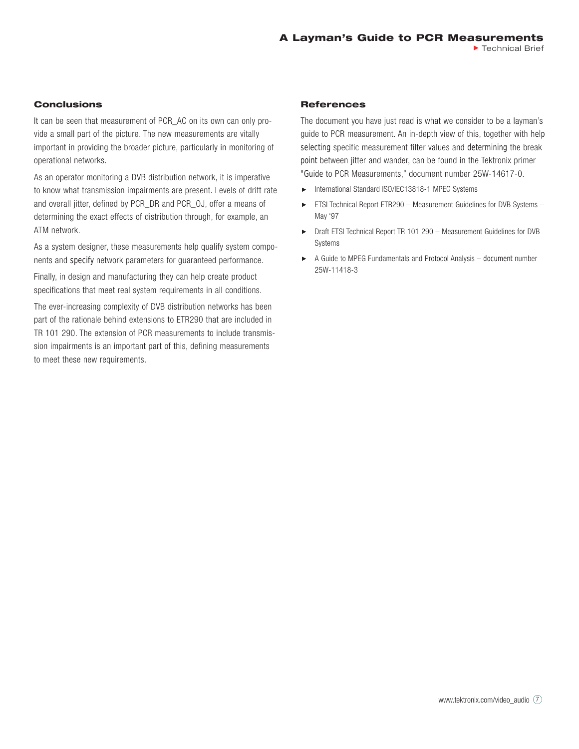#### **Conclusions**

It can be seen that measurement of PCR\_AC on its own can only provide a small part of the picture. The new measurements are vitally important in providing the broader picture, particularly in monitoring of operational networks.

As an operator monitoring a DVB distribution network, it is imperative to know what transmission impairments are present. Levels of drift rate and overall jitter, defined by PCR\_DR and PCR\_OJ, offer a means of determining the exact effects of distribution through, for example, an ATM network.

As a system designer, these measurements help qualify system components and specify network parameters for guaranteed performance.

Finally, in design and manufacturing they can help create product specifications that meet real system requirements in all conditions.

The ever-increasing complexity of DVB distribution networks has been part of the rationale behind extensions to ETR290 that are included in TR 101 290. The extension of PCR measurements to include transmission impairments is an important part of this, defining measurements to meet these new requirements.

#### **References**

The document you have just read is what we consider to be a layman's guide to PCR measurement. An in-depth view of this, together with help selecting specific measurement filter values and determining the break point between jitter and wander, can be found in the Tektronix primer "Guide to PCR Measurements," document number 25W-14617-0.

- International Standard ISO/IEC13818-1 MPEG Systems
- ► ETSI Technical Report ETR290 Measurement Guidelines for DVB Systems May '97
- ▶ Draft ETSI Technical Report TR 101 290 Measurement Guidelines for DVB Systems
- A Guide to MPEG Fundamentals and Protocol Analysis document number 25W-11418-3